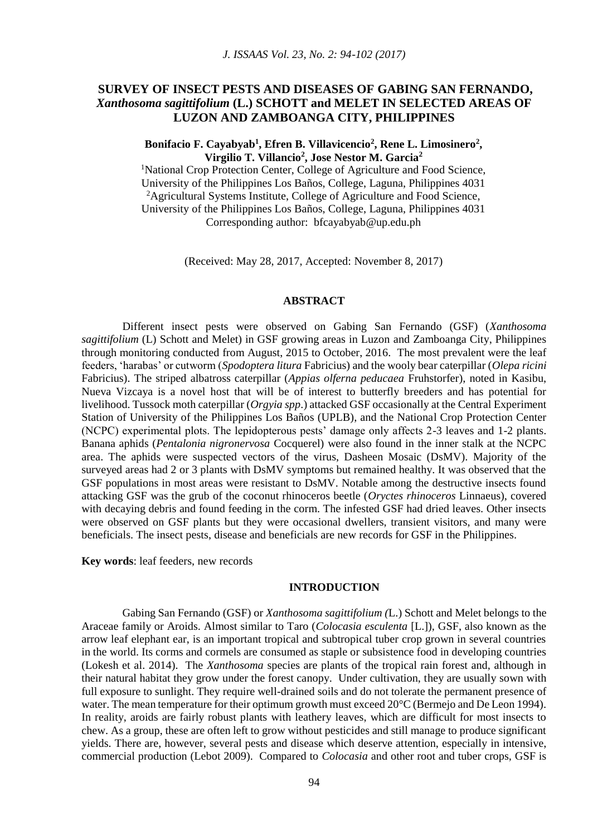# **SURVEY OF INSECT PESTS AND DISEASES OF GABING SAN FERNANDO,**  *Xanthosoma sagittifolium* **(L.) SCHOTT and MELET IN SELECTED AREAS OF LUZON AND ZAMBOANGA CITY, PHILIPPINES**

## **Bonifacio F. Cayabyab<sup>1</sup> , Efren B. Villavicencio<sup>2</sup> , Rene L. Limosinero<sup>2</sup> , Virgilio T. Villancio<sup>2</sup> , Jose Nestor M. Garcia<sup>2</sup>**

<sup>1</sup>National Crop Protection Center, College of Agriculture and Food Science, University of the Philippines Los Baños, College, Laguna, Philippines 4031 <sup>2</sup>Agricultural Systems Institute, College of Agriculture and Food Science, University of the Philippines Los Baños, College, Laguna, Philippines 4031 Corresponding author: bfcayabyab@up.edu.ph

(Received: May 28, 2017, Accepted: November 8, 2017)

#### **ABSTRACT**

Different insect pests were observed on Gabing San Fernando (GSF) (*Xanthosoma sagittifolium* (L) Schott and Melet) in GSF growing areas in Luzon and Zamboanga City, Philippines through monitoring conducted from August, 2015 to October, 2016. The most prevalent were the leaf feeders, 'harabas' or cutworm (*Spodoptera litura* Fabricius) and the wooly bear caterpillar (*Olepa ricini* Fabricius). The striped albatross caterpillar (*Appias olferna peducaea* Fruhstorfer), noted in Kasibu, Nueva Vizcaya is a novel host that will be of interest to butterfly breeders and has potential for livelihood. Tussock moth caterpillar (*Orgyia spp*.) attacked GSF occasionally at the Central Experiment Station of University of the Philippines Los Baños (UPLB), and the National Crop Protection Center (NCPC) experimental plots. The lepidopterous pests' damage only affects 2-3 leaves and 1-2 plants. Banana aphids (*Pentalonia nigronervosa* Cocquerel) were also found in the inner stalk at the NCPC area. The aphids were suspected vectors of the virus, Dasheen Mosaic (DsMV). Majority of the surveyed areas had 2 or 3 plants with DsMV symptoms but remained healthy. It was observed that the GSF populations in most areas were resistant to DsMV. Notable among the destructive insects found attacking GSF was the grub of the coconut rhinoceros beetle (*Oryctes rhinoceros* Linnaeus), covered with decaying debris and found feeding in the corm. The infested GSF had dried leaves. Other insects were observed on GSF plants but they were occasional dwellers, transient visitors, and many were beneficials. The insect pests, disease and beneficials are new records for GSF in the Philippines.

**Key words**: leaf feeders, new records

#### **INTRODUCTION**

Gabing San Fernando (GSF) or *Xanthosoma sagittifolium (*L.) Schott and Melet belongs to the Araceae family or Aroids. Almost similar to Taro (*Colocasia esculenta* [L.]), GSF, also known as the arrow leaf elephant ear, is an important tropical and subtropical tuber crop grown in several countries in the world. Its corms and cormels are consumed as staple or subsistence food in developing countries (Lokesh et al. 2014). The *Xanthosoma* species are plants of the tropical rain forest and, although in their natural habitat they grow under the forest canopy. Under cultivation, they are usually sown with full exposure to sunlight. They require well-drained soils and do not tolerate the permanent presence of water. The mean temperature for their optimum growth must exceed  $20^{\circ}$ C (Bermejo and De Leon 1994). In reality, aroids are fairly robust plants with leathery leaves, which are difficult for most insects to chew. As a group, these are often left to grow without pesticides and still manage to produce significant yields. There are, however, several pests and disease which deserve attention, especially in intensive, commercial production (Lebot 2009). Compared to *Colocasia* and other root and tuber crops, GSF is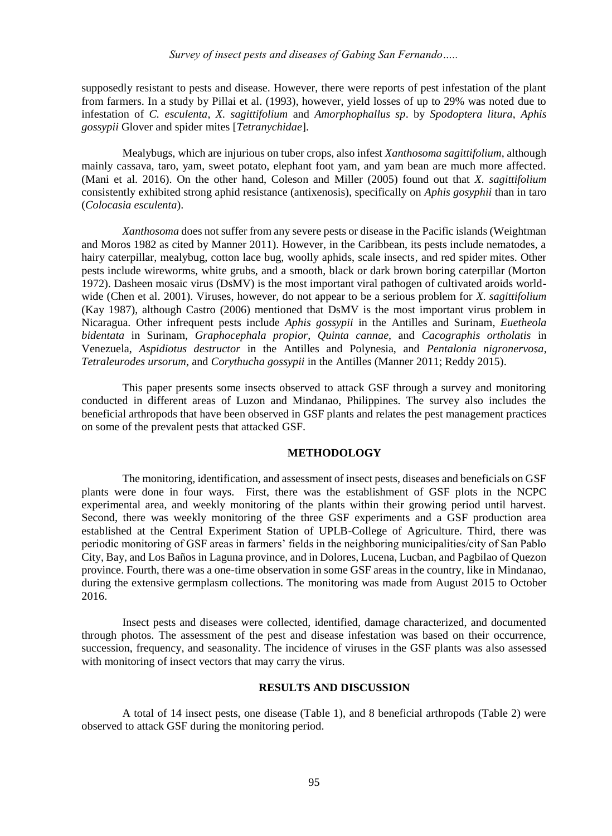supposedly resistant to pests and disease. However, there were reports of pest infestation of the plant from farmers. In a study by Pillai et al. (1993), however, yield losses of up to 29% was noted due to infestation of *C. esculenta*, *X. sagittifolium* and *Amorphophallus sp*. by *Spodoptera litura*, *Aphis gossypii* Glover and spider mites [*Tetranychidae*].

Mealybugs, which are injurious on tuber crops, also infest *Xanthosoma sagittifolium*, although mainly cassava, taro, yam, sweet potato, elephant foot yam, and yam bean are much more affected. (Mani et al. 2016). On the other hand, Coleson and Miller (2005) found out that *X. sagittifolium* consistently exhibited strong aphid resistance (antixenosis), specifically on *Aphis gosyphii* than in taro (*Colocasia esculenta*).

*Xanthosoma* does not suffer from any severe pests or disease in the Pacific islands (Weightman and Moros 1982 as cited by Manner 2011). However, in the Caribbean, its pests include nematodes, a hairy caterpillar, mealybug, cotton lace bug, woolly aphids, scale insects, and red spider mites. Other pests include wireworms, white grubs, and a smooth, black or dark brown boring caterpillar (Morton 1972). Dasheen mosaic virus (DsMV) is the most important viral pathogen of cultivated aroids worldwide (Chen et al. 2001). Viruses, however, do not appear to be a serious problem for *X. sagittifolium* (Kay 1987), although Castro (2006) mentioned that DsMV is the most important virus problem in Nicaragua. Other infrequent pests include *Aphis gossypii* in the Antilles and Surinam*, Euetheola bidentata* in Surinam, *Graphocephala propior*, *Quinta cannae*, and *Cacographis ortholatis* in Venezuela, *Aspidiotus destructor* in the Antilles and Polynesia, and *Pentalonia nigronervosa*, *Tetraleurodes ursorum*, and *Corythucha gossypii* in the Antilles (Manner 2011; Reddy 2015).

This paper presents some insects observed to attack GSF through a survey and monitoring conducted in different areas of Luzon and Mindanao, Philippines. The survey also includes the beneficial arthropods that have been observed in GSF plants and relates the pest management practices on some of the prevalent pests that attacked GSF.

#### **METHODOLOGY**

The monitoring, identification, and assessment of insect pests, diseases and beneficials on GSF plants were done in four ways. First, there was the establishment of GSF plots in the NCPC experimental area, and weekly monitoring of the plants within their growing period until harvest. Second, there was weekly monitoring of the three GSF experiments and a GSF production area established at the Central Experiment Station of UPLB-College of Agriculture. Third, there was periodic monitoring of GSF areas in farmers' fields in the neighboring municipalities/city of San Pablo City, Bay, and Los Baños in Laguna province, and in Dolores, Lucena, Lucban, and Pagbilao of Quezon province. Fourth, there was a one-time observation in some GSF areas in the country, like in Mindanao, during the extensive germplasm collections. The monitoring was made from August 2015 to October 2016.

Insect pests and diseases were collected, identified, damage characterized, and documented through photos. The assessment of the pest and disease infestation was based on their occurrence, succession, frequency, and seasonality. The incidence of viruses in the GSF plants was also assessed with monitoring of insect vectors that may carry the virus.

## **RESULTS AND DISCUSSION**

A total of 14 insect pests, one disease (Table 1), and 8 beneficial arthropods (Table 2) were observed to attack GSF during the monitoring period.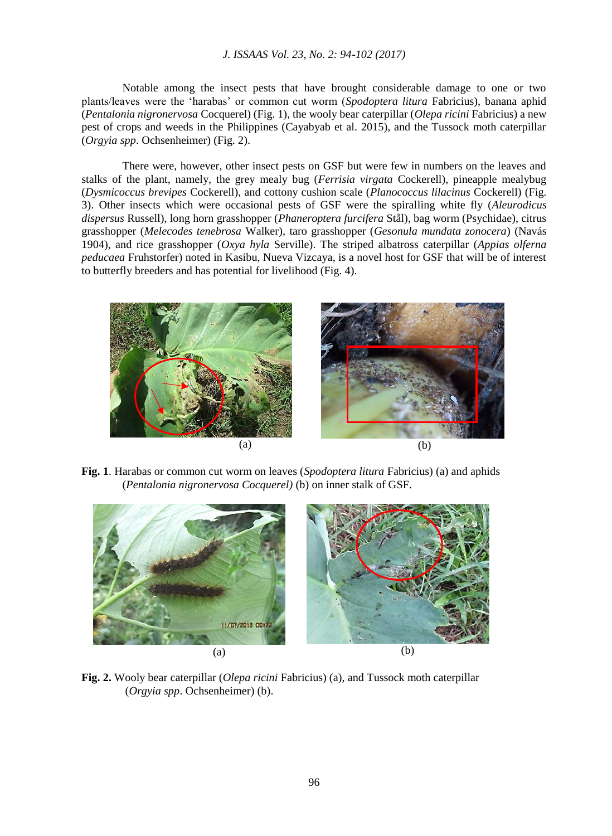## *J. ISSAAS Vol. 23, No. 2: 94-102 (2017)*

Notable among the insect pests that have brought considerable damage to one or two plants/leaves were the 'harabas' or common cut worm (*Spodoptera litura* Fabricius), banana aphid (*Pentalonia nigronervosa* Cocquerel) (Fig. 1), the wooly bear caterpillar (*Olepa ricini* Fabricius) a new pest of crops and weeds in the Philippines (Cayabyab et al. 2015), and the Tussock moth caterpillar (*Orgyia spp*. Ochsenheimer) (Fig. 2).

There were, however, other insect pests on GSF but were few in numbers on the leaves and stalks of the plant, namely, the grey mealy bug (*Ferrisia virgata* Cockerell), pineapple mealybug (*Dysmicoccus brevipes* Cockerell), and cottony cushion scale (*Planococcus lilacinus* Cockerell) (Fig. 3). Other insects which were occasional pests of GSF were the spiralling white fly (*Aleurodicus dispersus* Russell), long horn grasshopper (*Phaneroptera furcifera* Stål), bag worm (Psychidae), citrus grasshopper (*Melecodes tenebrosa* Walker), taro grasshopper (*Gesonula mundata zonocera*) (Navás 1904), and rice grasshopper (*Oxya hyla* Serville). The striped albatross caterpillar (*Appias olferna peducaea* Fruhstorfer) noted in Kasibu, Nueva Vizcaya, is a novel host for GSF that will be of interest to butterfly breeders and has potential for livelihood (Fig. 4).



**Fig. 1**. Harabas or common cut worm on leaves (*Spodoptera litura* Fabricius) (a) and aphids (*Pentalonia nigronervosa Cocquerel)* (b) on inner stalk of GSF.



**Fig. 2.** Wooly bear caterpillar (*Olepa ricini* Fabricius) (a), and Tussock moth caterpillar (*Orgyia spp*. Ochsenheimer) (b).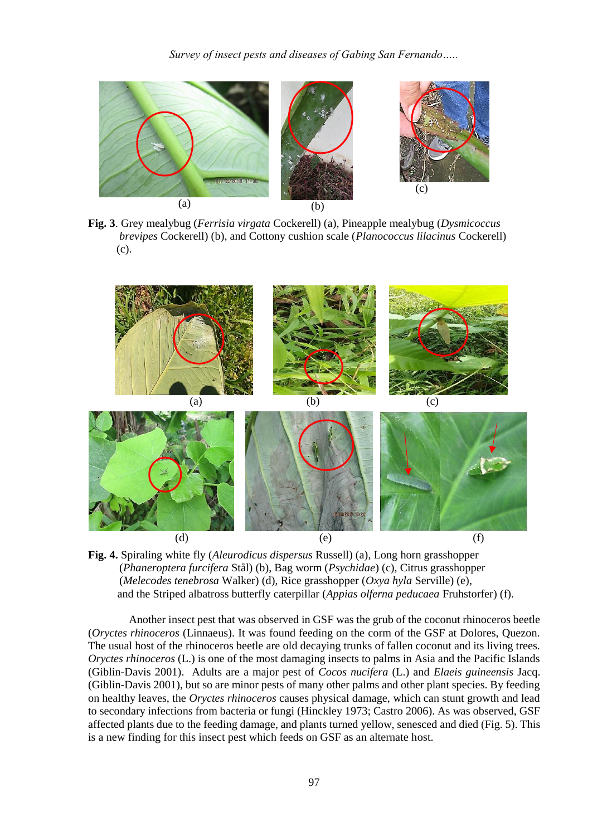

**Fig. 3**. Grey mealybug (*Ferrisia virgata* Cockerell) (a), Pineapple mealybug (*Dysmicoccus brevipes* Cockerell) (b), and Cottony cushion scale (*Planococcus lilacinus* Cockerell) (c).



**Fig. 4.** Spiraling white fly (*Aleurodicus dispersus* Russell) (a), Long horn grasshopper (*Phaneroptera furcifera* Stål) (b), Bag worm (*Psychidae*) (c), Citrus grasshopper (*Melecodes tenebrosa* Walker) (d), Rice grasshopper (*Oxya hyla* Serville) (e), and the Striped albatross butterfly caterpillar (*Appias olferna peducaea* Fruhstorfer) (f).

Another insect pest that was observed in GSF was the grub of the coconut rhinoceros beetle (*Oryctes rhinoceros* (Linnaeus). It was found feeding on the corm of the GSF at Dolores, Quezon. The usual host of the rhinoceros beetle are old decaying trunks of fallen coconut and its living trees. *Oryctes rhinoceros* (L.) is one of the most damaging insects to palms in Asia and the Pacific Islands (Giblin-Davis 2001). Adults are a major pest of *Cocos nucifera* (L.) and *Elaeis guineensis* Jacq. (Giblin-Davis 2001), but so are minor pests of many other palms and other plant species. By feeding on healthy leaves, the *Oryctes rhinoceros* causes physical damage, which can stunt growth and lead to secondary infections from bacteria or fungi (Hinckley 1973; Castro 2006). As was observed, GSF affected plants due to the feeding damage, and plants turned yellow, senesced and died (Fig. 5). This is a new finding for this insect pest which feeds on GSF as an alternate host.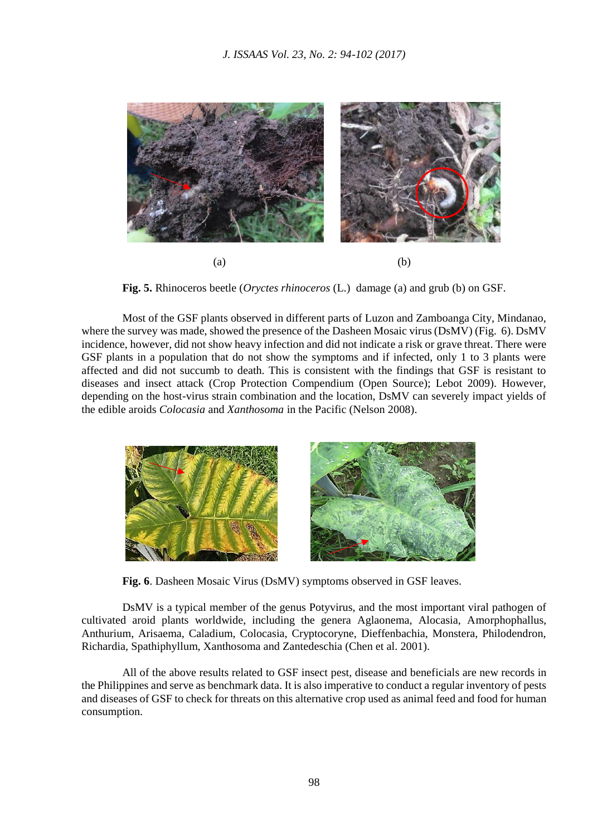

**Fig. 5.** Rhinoceros beetle (*Oryctes rhinoceros* (L.) damage (a) and grub (b) on GSF.

Most of the GSF plants observed in different parts of Luzon and Zamboanga City, Mindanao, where the survey was made, showed the presence of the Dasheen Mosaic virus (DsMV) (Fig. 6). DsMV incidence, however, did not show heavy infection and did not indicate a risk or grave threat. There were GSF plants in a population that do not show the symptoms and if infected, only 1 to 3 plants were affected and did not succumb to death. This is consistent with the findings that GSF is resistant to diseases and insect attack (Crop Protection Compendium (Open Source); Lebot 2009). However, depending on the host-virus strain combination and the location, DsMV can severely impact yields of the edible aroids *Colocasia* and *Xanthosoma* in the Pacific (Nelson 2008).



**Fig. 6**. Dasheen Mosaic Virus (DsMV) symptoms observed in GSF leaves.

DsMV is a typical member of the genus Potyvirus, and the most important viral pathogen of cultivated aroid plants worldwide, including the genera Aglaonema, Alocasia, Amorphophallus, Anthurium, Arisaema, Caladium, Colocasia, Cryptocoryne, Dieffenbachia, Monstera, Philodendron, Richardia, Spathiphyllum, Xanthosoma and Zantedeschia (Chen et al. 2001).

All of the above results related to GSF insect pest, disease and beneficials are new records in the Philippines and serve as benchmark data. It is also imperative to conduct a regular inventory of pests and diseases of GSF to check for threats on this alternative crop used as animal feed and food for human consumption.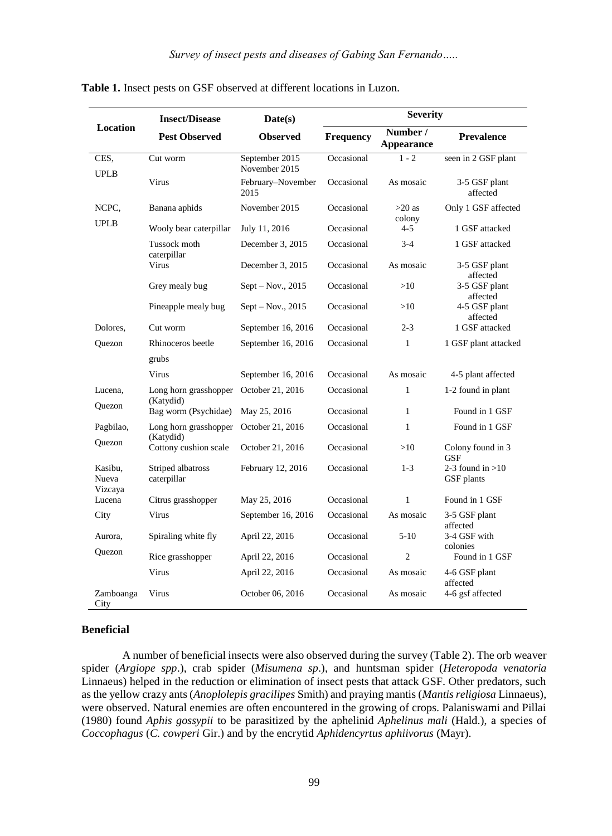| <b>Location</b>   | <b>Insect/Disease</b>                                       | Date(s)                                    | <b>Severity</b> |                               |                                         |
|-------------------|-------------------------------------------------------------|--------------------------------------------|-----------------|-------------------------------|-----------------------------------------|
|                   | <b>Pest Observed</b>                                        | <b>Observed</b>                            | Frequency       | Number /<br><b>Appearance</b> | <b>Prevalence</b>                       |
| CES,              | Cut worm                                                    | September 2015                             | Occasional      | $1 - 2$                       | seen in 2 GSF plant                     |
| <b>UPLB</b>       | Virus                                                       | November 2015<br>February-November<br>2015 | Occasional      | As mosaic                     | 3-5 GSF plant<br>affected               |
| NCPC.             | Banana aphids                                               | November 2015                              | Occasional      | $>20$ as                      | Only 1 GSF affected                     |
| <b>UPLB</b>       | Wooly bear caterpillar                                      | July 11, 2016                              | Occasional      | colony<br>4-5                 | 1 GSF attacked                          |
|                   | Tussock moth                                                | December 3, 2015                           | Occasional      | $3-4$                         | 1 GSF attacked                          |
|                   | caterpillar<br>Virus                                        | December 3, 2015                           | Occasional      | As mosaic                     | 3-5 GSF plant<br>affected               |
|                   | Grey mealy bug                                              | $Sept - Nov., 2015$                        | Occasional      | >10                           | 3-5 GSF plant                           |
|                   | Pineapple mealy bug                                         | $Sept - Nov., 2015$                        | Occasional      | >10                           | affected<br>4-5 GSF plant<br>affected   |
| Dolores.          | Cut worm                                                    | September 16, 2016                         | Occasional      | $2 - 3$                       | 1 GSF attacked                          |
| Quezon            | Rhinoceros beetle                                           | September 16, 2016                         | Occasional      | 1                             | 1 GSF plant attacked                    |
|                   | grubs                                                       |                                            |                 |                               |                                         |
|                   | Virus                                                       | September 16, 2016                         | Occasional      | As mosaic                     | 4-5 plant affected                      |
| Lucena.           | Long horn grasshopper<br>(Katydid)                          | October 21, 2016                           | Occasional      | 1                             | 1-2 found in plant                      |
| Ouezon            | Bag worm (Psychidae)                                        | May 25, 2016                               | Occasional      | 1                             | Found in 1 GSF                          |
| Pagbilao,         | Long horn grasshopper<br>(Katydid)<br>Cottony cushion scale | October 21, 2016                           | Occasional      | $\mathbf{1}$                  | Found in 1 GSF                          |
| Quezon            |                                                             | October 21, 2016                           | Occasional      | >10                           | Colony found in 3<br><b>GSF</b>         |
| Kasibu.<br>Nueva  | Striped albatross<br>caterpillar                            | February 12, 2016                          | Occasional      | $1 - 3$                       | 2-3 found in $>10$<br><b>GSF</b> plants |
| Vizcaya<br>Lucena | Citrus grasshopper                                          | May 25, 2016                               | Occasional      | 1                             | Found in 1 GSF                          |
| City              | Virus                                                       | September 16, 2016                         | Occasional      | As mosaic                     | 3-5 GSF plant                           |
| Aurora,           | Spiraling white fly                                         | April 22, 2016                             | Occasional      | $5-10$                        | affected<br>3-4 GSF with<br>colonies    |
| Quezon            | Rice grasshopper                                            | April 22, 2016                             | Occasional      | $\overline{2}$                | Found in 1 GSF                          |
|                   | Virus                                                       | April 22, 2016                             | Occasional      | As mosaic                     | 4-6 GSF plant<br>affected               |
| Zamboanga<br>City | Virus                                                       | October 06, 2016                           | Occasional      | As mosaic                     | 4-6 gsf affected                        |

**Table 1.** Insect pests on GSF observed at different locations in Luzon.

# **Beneficial**

A number of beneficial insects were also observed during the survey (Table 2). The orb weaver spider (*Argiope spp*.), crab spider (*Misumena sp*.), and huntsman spider (*Heteropoda venatoria*  Linnaeus) helped in the reduction or elimination of insect pests that attack GSF. Other predators, such as the yellow crazy ants (*Anoplolepis gracilipes* Smith) and praying mantis (*Mantis religiosa* Linnaeus), were observed. Natural enemies are often encountered in the growing of crops. Palaniswami and Pillai (1980) found *Aphis gossypii* to be parasitized by the aphelinid *Aphelinus mali* (Hald.), a species of *Coccophagus* (*C. cowperi* Gir.) and by the encrytid *Aphidencyrtus aphiivorus* (Mayr).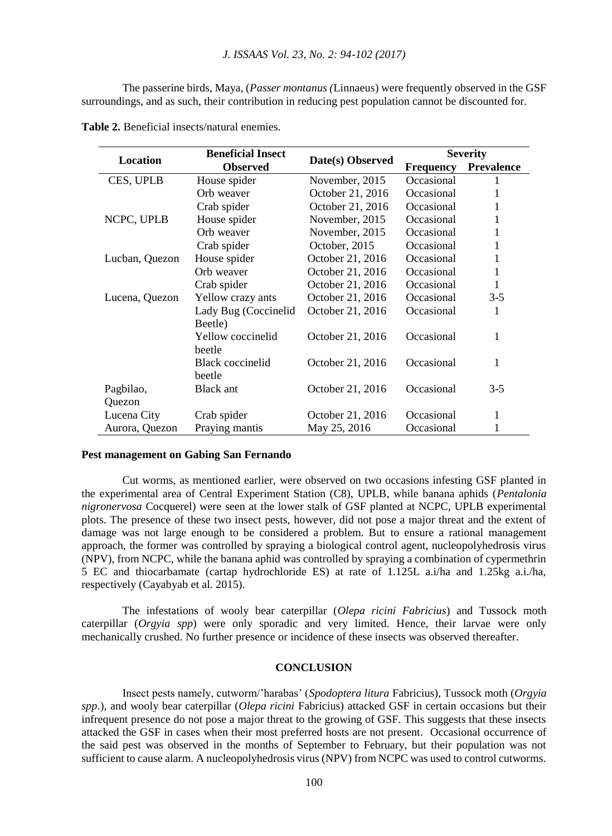The passerine birds, Maya, (*Passer montanus (*Linnaeus) were frequently observed in the GSF surroundings, and as such, their contribution in reducing pest population cannot be discounted for.

| Location       | <b>Beneficial Insect</b> |                  | <b>Severity</b>  |                   |
|----------------|--------------------------|------------------|------------------|-------------------|
|                | <b>Observed</b>          | Date(s) Observed | <b>Frequency</b> | <b>Prevalence</b> |
| CES, UPLB      | House spider             | November, 2015   | Occasional       |                   |
|                | Orb weaver               | October 21, 2016 | Occasional       |                   |
|                | Crab spider              | October 21, 2016 | Occasional       |                   |
| NCPC, UPLB     | House spider             | November, 2015   | Occasional       | 1                 |
|                | Orb weaver               | November, 2015   | Occasional       | 1                 |
|                | Crab spider              | October, 2015    | Occasional       | 1                 |
| Lucban, Quezon | House spider             | October 21, 2016 | Occasional       | 1                 |
|                | Orb weaver               | October 21, 2016 | Occasional       | 1                 |
|                | Crab spider              | October 21, 2016 | Occasional       | 1                 |
| Lucena, Quezon | Yellow crazy ants        | October 21, 2016 | Occasional       | $3-5$             |
|                | Lady Bug (Coccinelid     | October 21, 2016 | Occasional       | 1                 |
|                | Beetle)                  |                  |                  |                   |
|                | Yellow coccinelid        | October 21, 2016 | Occasional       | 1                 |
|                | beetle                   |                  |                  |                   |
|                | Black coccinelid         | October 21, 2016 | Occasional       | 1                 |
|                | beetle                   |                  |                  |                   |
| Pagbilao,      | Black ant                | October 21, 2016 | Occasional       | $3-5$             |
| Quezon         |                          |                  |                  |                   |
| Lucena City    | Crab spider              | October 21, 2016 | Occasional       | 1                 |
| Aurora, Quezon | Praying mantis           | May 25, 2016     | Occasional       | 1                 |

**Table 2.** Beneficial insects/natural enemies.

#### **Pest management on Gabing San Fernando**

Cut worms, as mentioned earlier, were observed on two occasions infesting GSF planted in the experimental area of Central Experiment Station (C8), UPLB, while banana aphids (*Pentalonia nigronervosa* Cocquerel) were seen at the lower stalk of GSF planted at NCPC, UPLB experimental plots. The presence of these two insect pests, however, did not pose a major threat and the extent of damage was not large enough to be considered a problem. But to ensure a rational management approach, the former was controlled by spraying a biological control agent, nucleopolyhedrosis virus (NPV), from NCPC, while the banana aphid was controlled by spraying a combination of cypermethrin 5 EC and thiocarbamate (cartap hydrochloride ES) at rate of 1.125L a.i/ha and 1.25kg a.i./ha, respectively (Cayabyab et al. 2015).

The infestations of wooly bear caterpillar (*Olepa ricini Fabricius*) and Tussock moth caterpillar (*Orgyia spp*) were only sporadic and very limited. Hence, their larvae were only mechanically crushed. No further presence or incidence of these insects was observed thereafter.

# **CONCLUSION**

Insect pests namely, cutworm/'harabas' (*Spodoptera litura* Fabricius), Tussock moth (*Orgyia spp*.), and wooly bear caterpillar (*Olepa ricini* Fabricius) attacked GSF in certain occasions but their infrequent presence do not pose a major threat to the growing of GSF. This suggests that these insects attacked the GSF in cases when their most preferred hosts are not present. Occasional occurrence of the said pest was observed in the months of September to February, but their population was not sufficient to cause alarm. A nucleopolyhedrosis virus (NPV) from NCPC was used to control cutworms.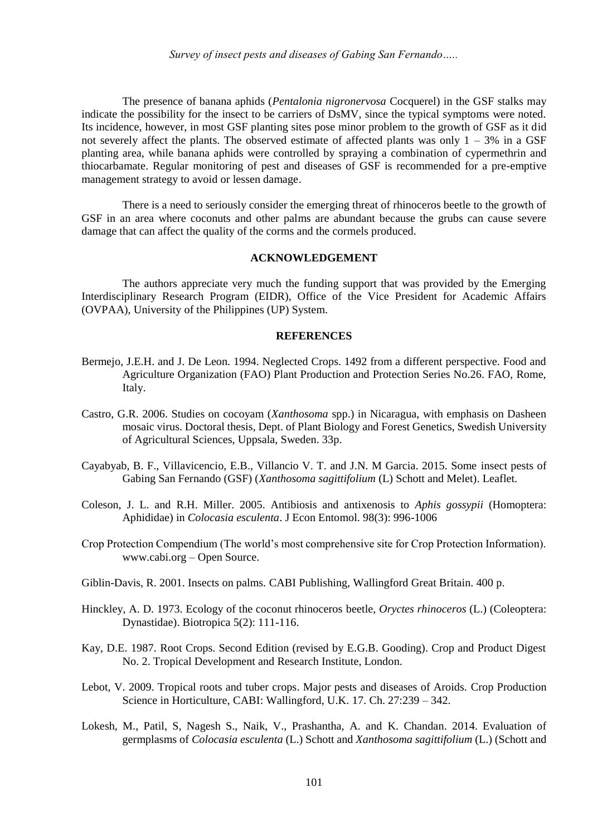The presence of banana aphids (*Pentalonia nigronervosa* Cocquerel) in the GSF stalks may indicate the possibility for the insect to be carriers of DsMV, since the typical symptoms were noted. Its incidence, however, in most GSF planting sites pose minor problem to the growth of GSF as it did not severely affect the plants. The observed estimate of affected plants was only  $1 - 3\%$  in a GSF planting area, while banana aphids were controlled by spraying a combination of cypermethrin and thiocarbamate. Regular monitoring of pest and diseases of GSF is recommended for a pre-emptive management strategy to avoid or lessen damage.

There is a need to seriously consider the emerging threat of rhinoceros beetle to the growth of GSF in an area where coconuts and other palms are abundant because the grubs can cause severe damage that can affect the quality of the corms and the cormels produced.

## **ACKNOWLEDGEMENT**

The authors appreciate very much the funding support that was provided by the Emerging Interdisciplinary Research Program (EIDR), Office of the Vice President for Academic Affairs (OVPAA), University of the Philippines (UP) System.

#### **REFERENCES**

- Bermejo, J.E.H. and J. De Leon. 1994. Neglected Crops. 1492 from a different perspective. Food and Agriculture Organization (FAO) Plant Production and Protection Series No.26. FAO, Rome, Italy.
- Castro, G.R. 2006. Studies on cocoyam (*Xanthosoma* spp.) in Nicaragua, with emphasis on Dasheen mosaic virus. Doctoral thesis, Dept. of Plant Biology and Forest Genetics, Swedish University of Agricultural Sciences, Uppsala, Sweden. 33p.
- Cayabyab, B. F., Villavicencio, E.B., Villancio V. T. and J.N. M Garcia. 2015. Some insect pests of Gabing San Fernando (GSF) (*Xanthosoma sagittifolium* (L) Schott and Melet). Leaflet.
- Coleson, J. L. and R.H. Miller. 2005. Antibiosis and antixenosis to *Aphis gossypii* (Homoptera: Aphididae) in *Colocasia esculenta*. J Econ Entomol. 98(3): 996-1006
- Crop Protection Compendium (The world's most comprehensive site for Crop Protection Information). www.cabi.org – Open Source.
- Giblin-Davis, R. 2001. Insects on palms. [CABI Publishing, Wallingford Great Britain. 400 p.](http://www.cabi.org/isc/FullTextPDF/2001/20013091640.pdf#page=281)
- Hinckley, A. D. 1973. Ecology of the coconut rhinoceros beetle, *Oryctes rhinoceros* (L.) (Coleoptera: Dynastidae). Biotropica 5(2): 111-116.
- Kay, D.E. 1987. Root Crops. Second Edition (revised by E.G.B. Gooding). Crop and Product Digest No. 2. Tropical Development and Research Institute, London.
- Lebot, V. 2009. Tropical roots and tuber crops. Major pests and diseases of Aroids. Crop Production Science in Horticulture, CABI: Wallingford, U.K. 17. Ch. 27:239 – 342.
- Lokesh, M., Patil, S, Nagesh S., Naik, V., Prashantha, A. and K. Chandan. 2014. Evaluation of germplasms of *Colocasia esculenta* (L.) Schott and *Xanthosoma sagittifolium* (L.) (Schott and